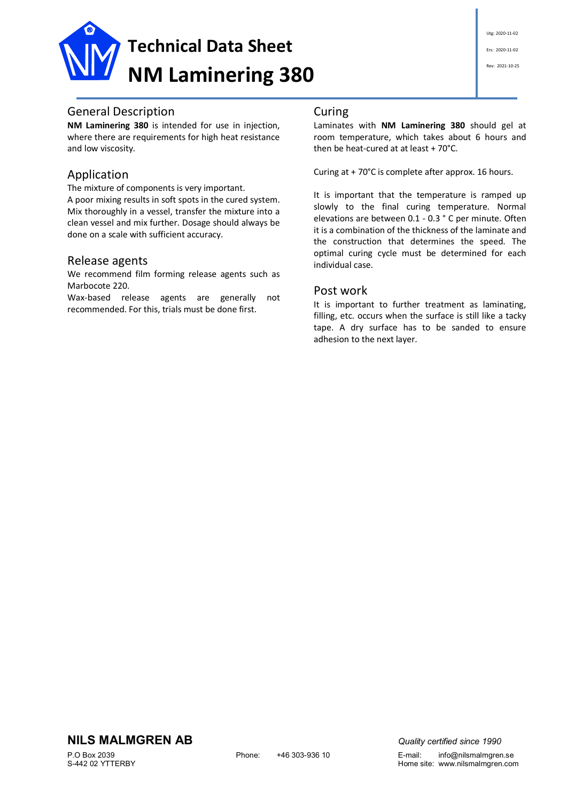

# General Description

**NM Laminering 380** is intended for use in injection, where there are requirements for high heat resistance and low viscosity.

# Application

The mixture of components is very important. A poor mixing results in soft spots in the cured system. Mix thoroughly in a vessel, transfer the mixture into a clean vessel and mix further. Dosage should always be done on a scale with sufficient accuracy.

### Release agents

We recommend film forming release agents such as Marbocote 220.

Wax-based release agents are generally not recommended. For this, trials must be done first.

## Curing

Laminates with **NM Laminering 380** should gel at room temperature, which takes about 6 hours and then be heat-cured at at least + 70°C.

Curing at + 70°C is complete after approx. 16 hours.

It is important that the temperature is ramped up slowly to the final curing temperature. Normal elevations are between 0.1 - 0.3 ° C per minute. Often it is a combination of the thickness of the laminate and the construction that determines the speed. The optimal curing cycle must be determined for each individual case.

### Post work

It is important to further treatment as laminating, filling, etc. occurs when the surface is still like a tacky tape. A dry surface has to be sanded to ensure adhesion to the next layer.